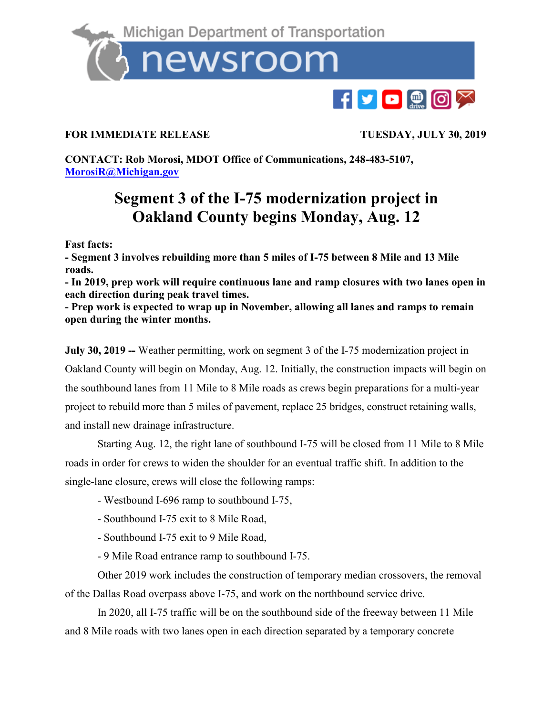

## **FOR IMMEDIATE RELEASE TUESDAY, JULY 30, 2019**

**CONTACT: Rob Morosi, MDOT Office of Communications, 248-483-5107, [MorosiR@Michigan.gov](mailto:MorosiR@Michigan.gov)**

## **Segment 3 of the I-75 modernization project in Oakland County begins Monday, Aug. 12**

**Fast facts:**

**- Segment 3 involves rebuilding more than 5 miles of I-75 between 8 Mile and 13 Mile roads.**

**- In 2019, prep work will require continuous lane and ramp closures with two lanes open in each direction during peak travel times.**

**- Prep work is expected to wrap up in November, allowing all lanes and ramps to remain open during the winter months.** 

**July 30, 2019 --** Weather permitting, work on segment 3 of the I-75 modernization project in Oakland County will begin on Monday, Aug. 12. Initially, the construction impacts will begin on the southbound lanes from 11 Mile to 8 Mile roads as crews begin preparations for a multi-year project to rebuild more than 5 miles of pavement, replace 25 bridges, construct retaining walls, and install new drainage infrastructure.

Starting Aug. 12, the right lane of southbound I-75 will be closed from 11 Mile to 8 Mile roads in order for crews to widen the shoulder for an eventual traffic shift. In addition to the single-lane closure, crews will close the following ramps:

- Westbound I-696 ramp to southbound I-75,
- Southbound I-75 exit to 8 Mile Road,
- Southbound I-75 exit to 9 Mile Road,
- 9 Mile Road entrance ramp to southbound I-75.

Other 2019 work includes the construction of temporary median crossovers, the removal of the Dallas Road overpass above I-75, and work on the northbound service drive.

In 2020, all I-75 traffic will be on the southbound side of the freeway between 11 Mile and 8 Mile roads with two lanes open in each direction separated by a temporary concrete